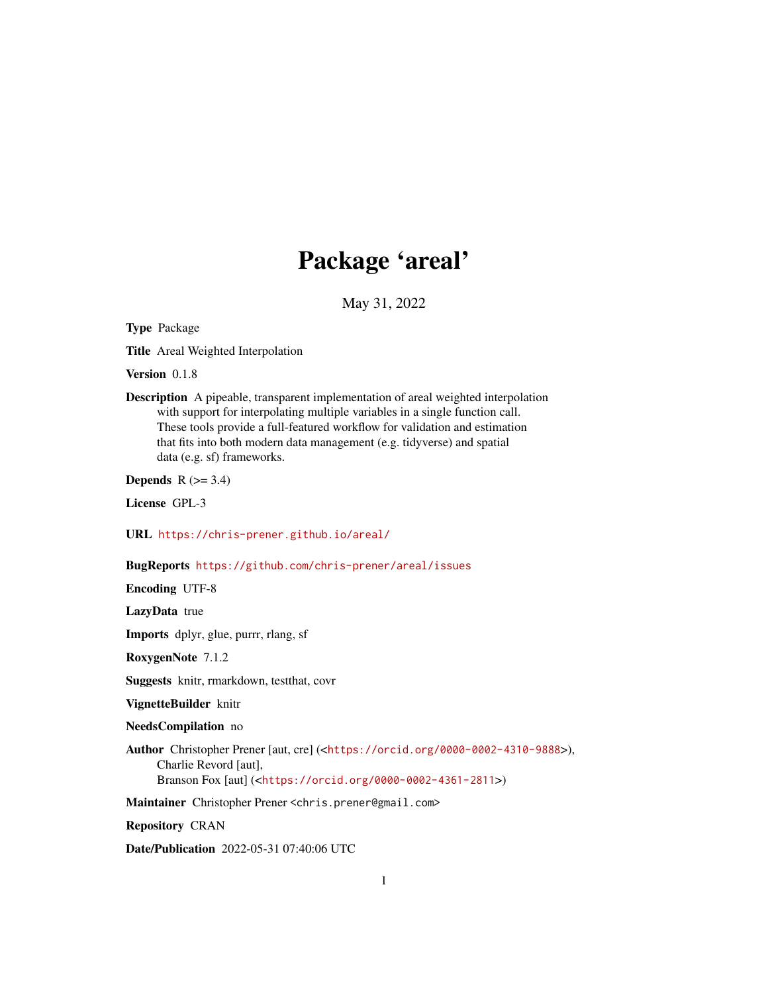# Package 'areal'

May 31, 2022

<span id="page-0-0"></span>Type Package

Title Areal Weighted Interpolation

Version 0.1.8

Description A pipeable, transparent implementation of areal weighted interpolation with support for interpolating multiple variables in a single function call. These tools provide a full-featured workflow for validation and estimation that fits into both modern data management (e.g. tidyverse) and spatial data (e.g. sf) frameworks.

Depends  $R$  ( $>= 3.4$ )

License GPL-3

URL <https://chris-prener.github.io/areal/>

# BugReports <https://github.com/chris-prener/areal/issues>

Encoding UTF-8

LazyData true

Imports dplyr, glue, purrr, rlang, sf

RoxygenNote 7.1.2

Suggests knitr, rmarkdown, testthat, covr

VignetteBuilder knitr

NeedsCompilation no

Author Christopher Prener [aut, cre] (<<https://orcid.org/0000-0002-4310-9888>>), Charlie Revord [aut],

Branson Fox [aut] (<<https://orcid.org/0000-0002-4361-2811>>)

Maintainer Christopher Prener <chris.prener@gmail.com>

Repository CRAN

Date/Publication 2022-05-31 07:40:06 UTC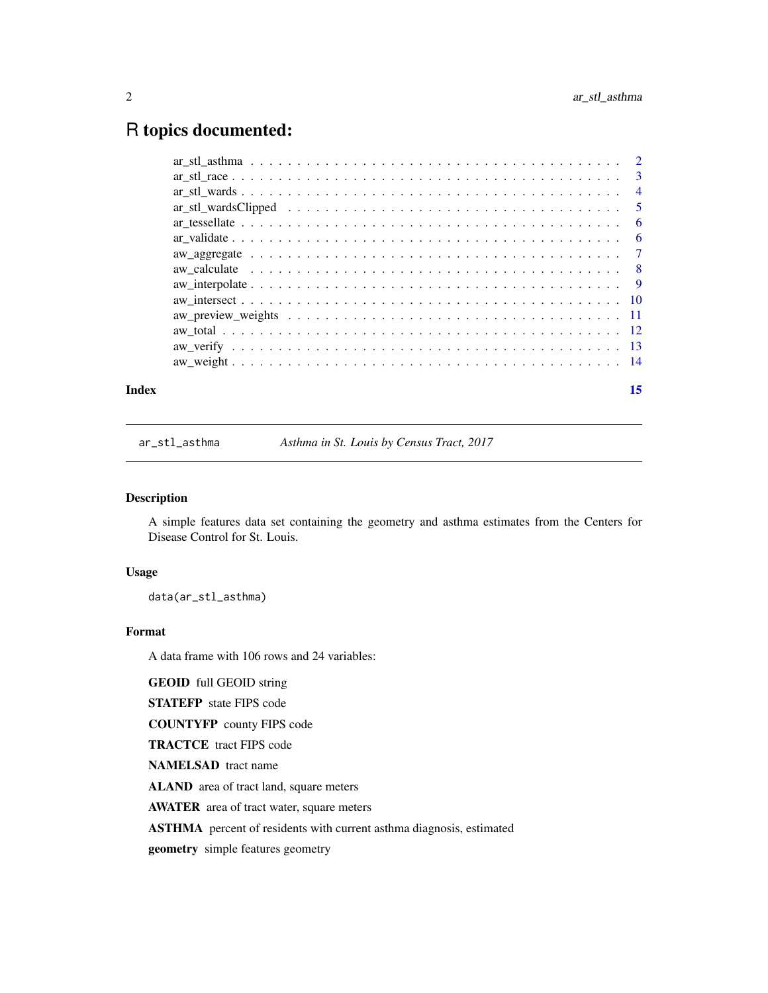# <span id="page-1-0"></span>R topics documented:

| Index | 15 |
|-------|----|
|       |    |
|       |    |
|       |    |
|       |    |
|       |    |
|       |    |
|       |    |
|       |    |
|       |    |
|       |    |
|       |    |
|       |    |
|       |    |
|       |    |

ar\_stl\_asthma *Asthma in St. Louis by Census Tract, 2017*

# Description

A simple features data set containing the geometry and asthma estimates from the Centers for Disease Control for St. Louis.

# Usage

data(ar\_stl\_asthma)

# Format

A data frame with 106 rows and 24 variables:

GEOID full GEOID string

STATEFP state FIPS code

COUNTYFP county FIPS code

TRACTCE tract FIPS code

NAMELSAD tract name

ALAND area of tract land, square meters

AWATER area of tract water, square meters

ASTHMA percent of residents with current asthma diagnosis, estimated

geometry simple features geometry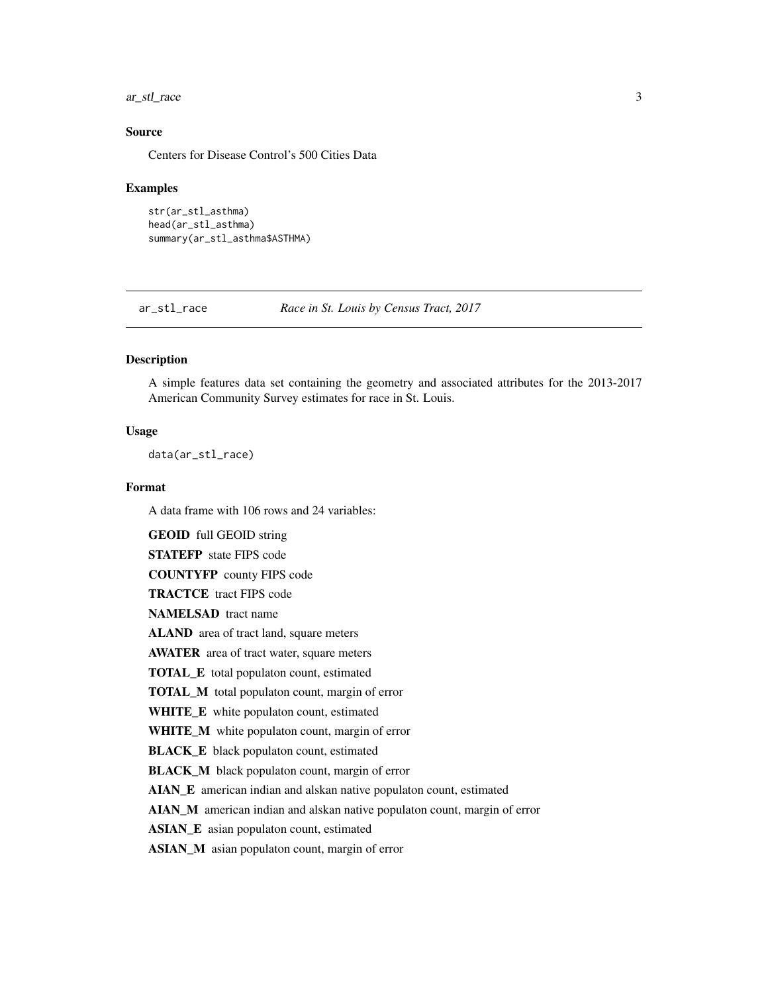<span id="page-2-0"></span>ar\_stl\_race 3

# Source

Centers for Disease Control's 500 Cities Data

#### Examples

```
str(ar_stl_asthma)
head(ar_stl_asthma)
summary(ar_stl_asthma$ASTHMA)
```
ar\_stl\_race *Race in St. Louis by Census Tract, 2017*

# Description

A simple features data set containing the geometry and associated attributes for the 2013-2017 American Community Survey estimates for race in St. Louis.

#### Usage

data(ar\_stl\_race)

#### Format

A data frame with 106 rows and 24 variables:

GEOID full GEOID string

STATEFP state FIPS code

COUNTYFP county FIPS code

TRACTCE tract FIPS code

NAMELSAD tract name

ALAND area of tract land, square meters

AWATER area of tract water, square meters

TOTAL\_E total populaton count, estimated

TOTAL\_M total populaton count, margin of error

WHITE\_E white populaton count, estimated

WHITE\_M white populaton count, margin of error

BLACK\_E black populaton count, estimated

BLACK\_M black populaton count, margin of error

AIAN\_E american indian and alskan native populaton count, estimated

AIAN\_M american indian and alskan native populaton count, margin of error

ASIAN\_E asian populaton count, estimated

ASIAN\_M asian populaton count, margin of error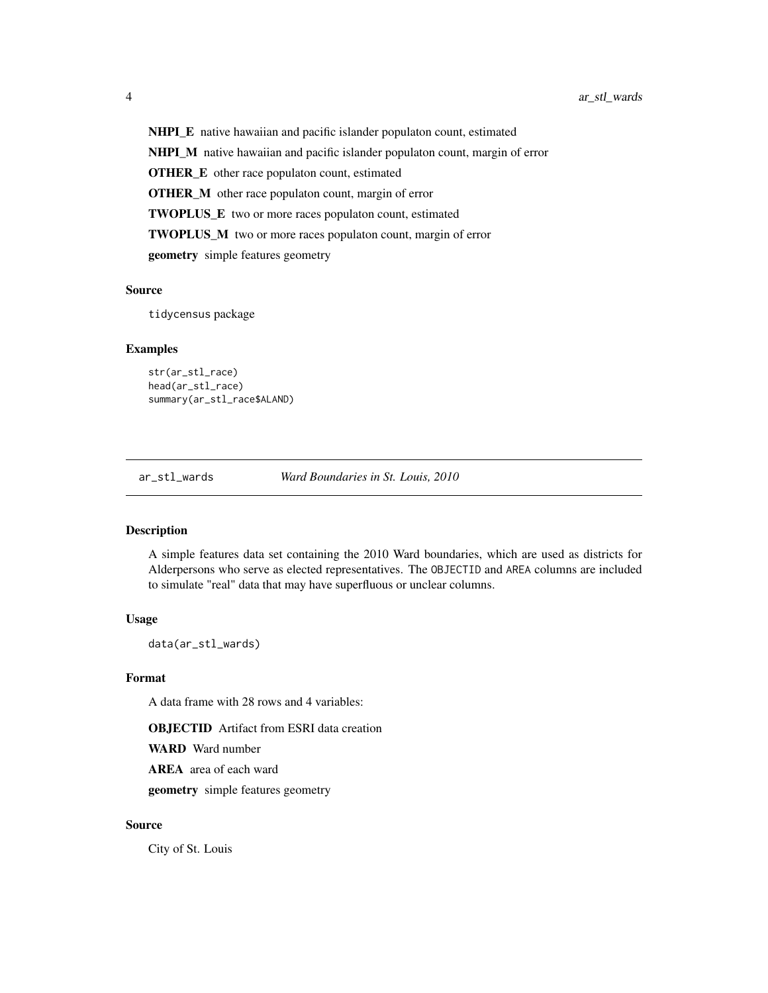<span id="page-3-0"></span>NHPI\_E native hawaiian and pacific islander populaton count, estimated NHPI\_M native hawaiian and pacific islander populaton count, margin of error OTHER\_E other race populaton count, estimated OTHER\_M other race populaton count, margin of error TWOPLUS\_E two or more races populaton count, estimated TWOPLUS\_M two or more races populaton count, margin of error geometry simple features geometry

# Source

tidycensus package

#### Examples

```
str(ar_stl_race)
head(ar_stl_race)
summary(ar_stl_race$ALAND)
```
ar\_stl\_wards *Ward Boundaries in St. Louis, 2010*

# Description

A simple features data set containing the 2010 Ward boundaries, which are used as districts for Alderpersons who serve as elected representatives. The OBJECTID and AREA columns are included to simulate "real" data that may have superfluous or unclear columns.

## Usage

data(ar\_stl\_wards)

#### Format

A data frame with 28 rows and 4 variables:

**OBJECTID** Artifact from ESRI data creation

WARD Ward number

AREA area of each ward

geometry simple features geometry

# Source

City of St. Louis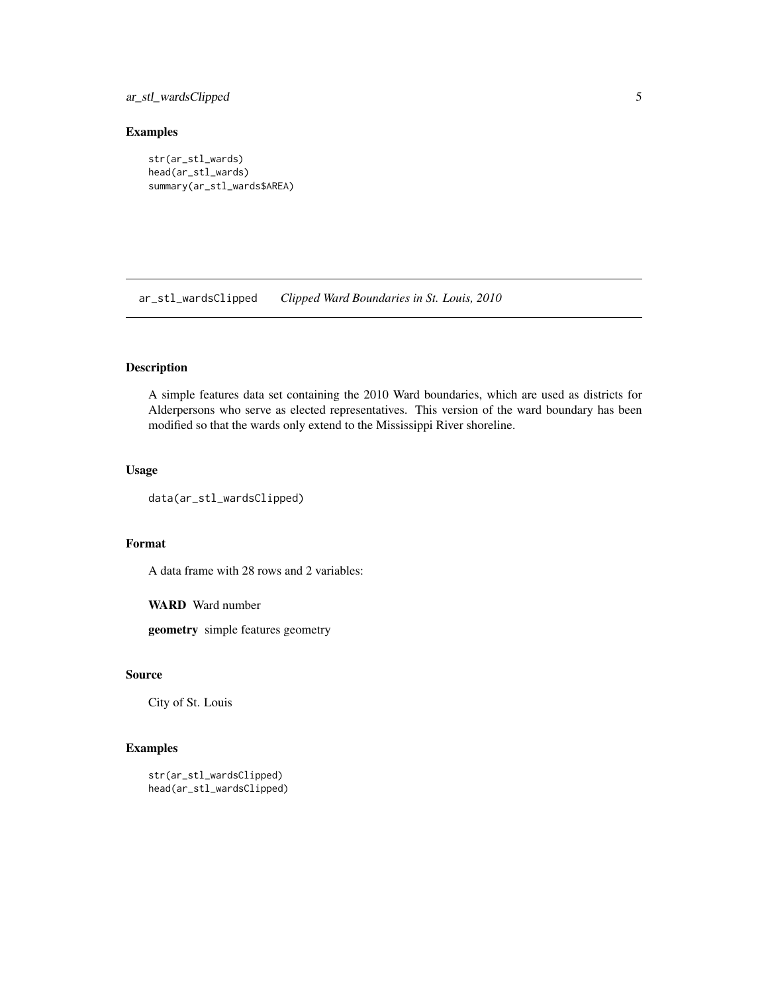# <span id="page-4-0"></span>ar\_stl\_wardsClipped 5

# Examples

```
str(ar_stl_wards)
head(ar_stl_wards)
summary(ar_stl_wards$AREA)
```
ar\_stl\_wardsClipped *Clipped Ward Boundaries in St. Louis, 2010*

# Description

A simple features data set containing the 2010 Ward boundaries, which are used as districts for Alderpersons who serve as elected representatives. This version of the ward boundary has been modified so that the wards only extend to the Mississippi River shoreline.

# Usage

```
data(ar_stl_wardsClipped)
```
#### Format

A data frame with 28 rows and 2 variables:

WARD Ward number

geometry simple features geometry

# Source

City of St. Louis

```
str(ar_stl_wardsClipped)
head(ar_stl_wardsClipped)
```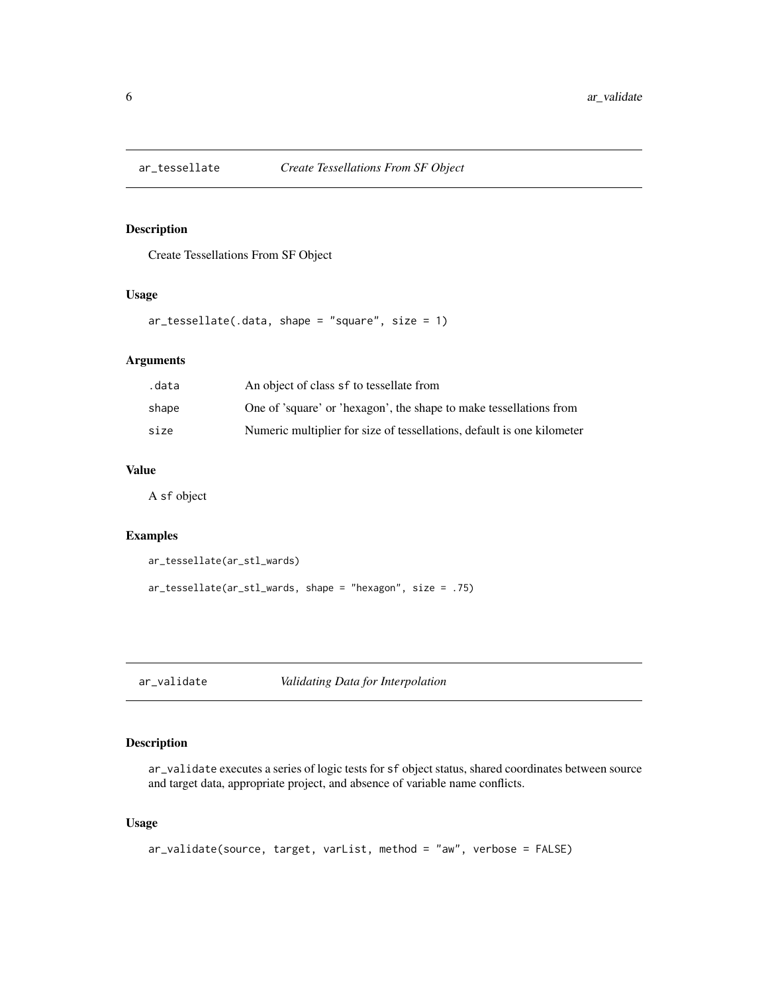<span id="page-5-0"></span>

# Description

Create Tessellations From SF Object

#### Usage

```
ar\_tessellate( .data, shape = "square", size = 1)
```
# Arguments

| .data | An object of class sf to tessellate from                               |
|-------|------------------------------------------------------------------------|
| shape | One of 'square' or 'hexagon', the shape to make tessellations from     |
| size  | Numeric multiplier for size of tessellations, default is one kilometer |

# Value

A sf object

#### Examples

```
ar_tessellate(ar_stl_wards)
```
ar\_tessellate(ar\_stl\_wards, shape = "hexagon", size = .75)

ar\_validate *Validating Data for Interpolation*

# Description

ar\_validate executes a series of logic tests for sf object status, shared coordinates between source and target data, appropriate project, and absence of variable name conflicts.

#### Usage

```
ar_validate(source, target, varList, method = "aw", verbose = FALSE)
```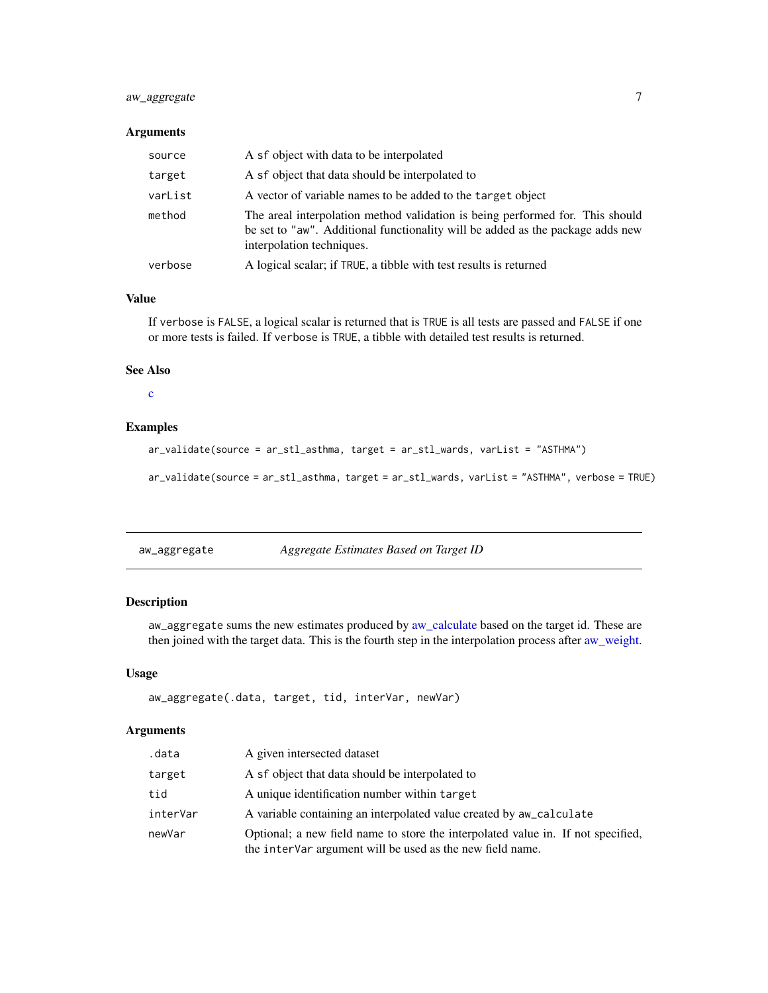# <span id="page-6-0"></span>aw\_aggregate 7

# Arguments

| source  | A sf object with data to be interpolated                                                                                                                                                     |
|---------|----------------------------------------------------------------------------------------------------------------------------------------------------------------------------------------------|
| target  | A sf object that data should be interpolated to                                                                                                                                              |
| varList | A vector of variable names to be added to the target object                                                                                                                                  |
| method  | The areal interpolation method validation is being performed for. This should<br>be set to "aw". Additional functionality will be added as the package adds new<br>interpolation techniques. |
| verbose | A logical scalar; if TRUE, a tibble with test results is returned                                                                                                                            |

# Value

If verbose is FALSE, a logical scalar is returned that is TRUE is all tests are passed and FALSE if one or more tests is failed. If verbose is TRUE, a tibble with detailed test results is returned.

#### See Also

# [c](#page-0-0)

# Examples

```
ar_validate(source = ar_stl_asthma, target = ar_stl_wards, varList = "ASTHMA")
```
ar\_validate(source = ar\_stl\_asthma, target = ar\_stl\_wards, varList = "ASTHMA", verbose = TRUE)

| aw_aggregate | Aggregate Estimates Based on Target ID |  |
|--------------|----------------------------------------|--|
|--------------|----------------------------------------|--|

# Description

aw\_aggregate sums the new estimates produced by [aw\\_calculate](#page-7-1) based on the target id. These are then joined with the target data. This is the fourth step in the interpolation process after [aw\\_weight.](#page-13-1)

#### Usage

```
aw_aggregate(.data, target, tid, interVar, newVar)
```
# Arguments

| .data    | A given intersected dataset                                                                                                                   |
|----------|-----------------------------------------------------------------------------------------------------------------------------------------------|
| target   | A sf object that data should be interpolated to                                                                                               |
| tid      | A unique identification number within target                                                                                                  |
| interVar | A variable containing an interpolated value created by aw_calculate                                                                           |
| newVar   | Optional; a new field name to store the interpolated value in. If not specified,<br>the intervar argument will be used as the new field name. |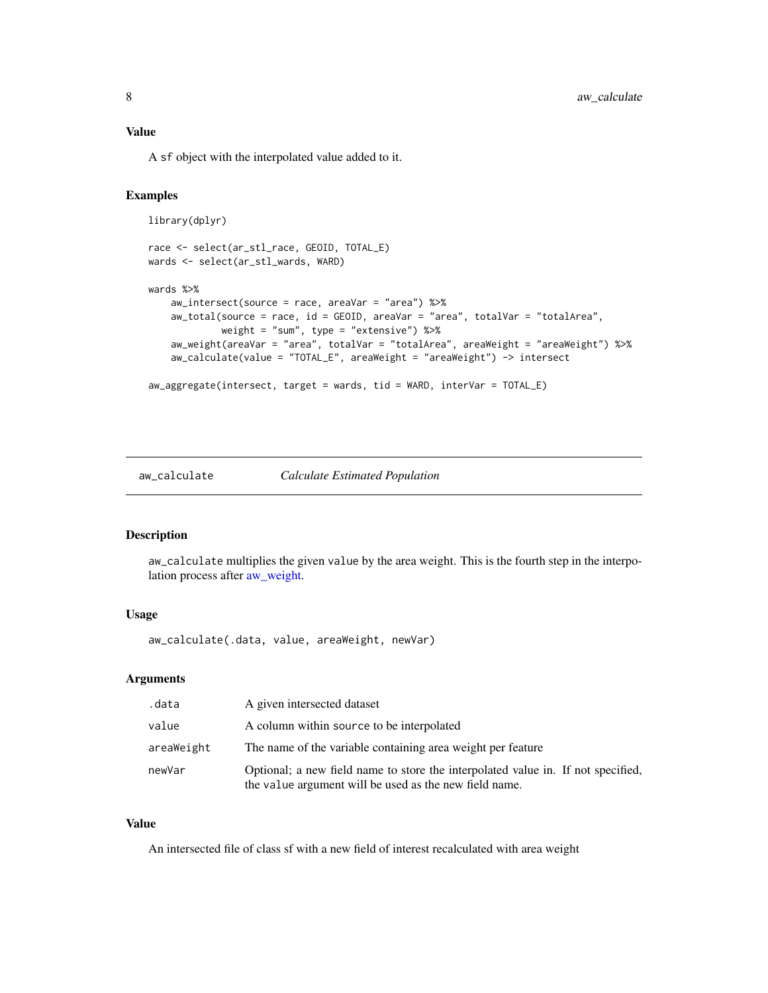<span id="page-7-0"></span>A sf object with the interpolated value added to it.

# Examples

```
library(dplyr)
race <- select(ar_stl_race, GEOID, TOTAL_E)
wards <- select(ar_stl_wards, WARD)
wards %>%
    aw_intersect(source = race, areaVar = "area") %>%
   aw_total(source = race, id = GEOID, areaVar = "area", totalVar = "totalArea",
             weight = "sum", type = "extensive") %>%
    aw_weight(areaVar = "area", totalVar = "totalArea", areaWeight = "areaWeight") %>%
    aw_calculate(value = "TOTAL_E", areaWeight = "areaWeight") -> intersect
aw_aggregate(intersect, target = wards, tid = WARD, interVar = TOTAL_E)
```
#### <span id="page-7-1"></span>aw\_calculate *Calculate Estimated Population*

#### Description

aw\_calculate multiplies the given value by the area weight. This is the fourth step in the interpolation process after [aw\\_weight.](#page-13-1)

#### Usage

aw\_calculate(.data, value, areaWeight, newVar)

#### Arguments

| .data      | A given intersected dataset                                                                                                                |
|------------|--------------------------------------------------------------------------------------------------------------------------------------------|
| value      | A column within source to be interpolated                                                                                                  |
| areaWeight | The name of the variable containing area weight per feature                                                                                |
| newVar     | Optional; a new field name to store the interpolated value in. If not specified,<br>the value argument will be used as the new field name. |

#### Value

An intersected file of class sf with a new field of interest recalculated with area weight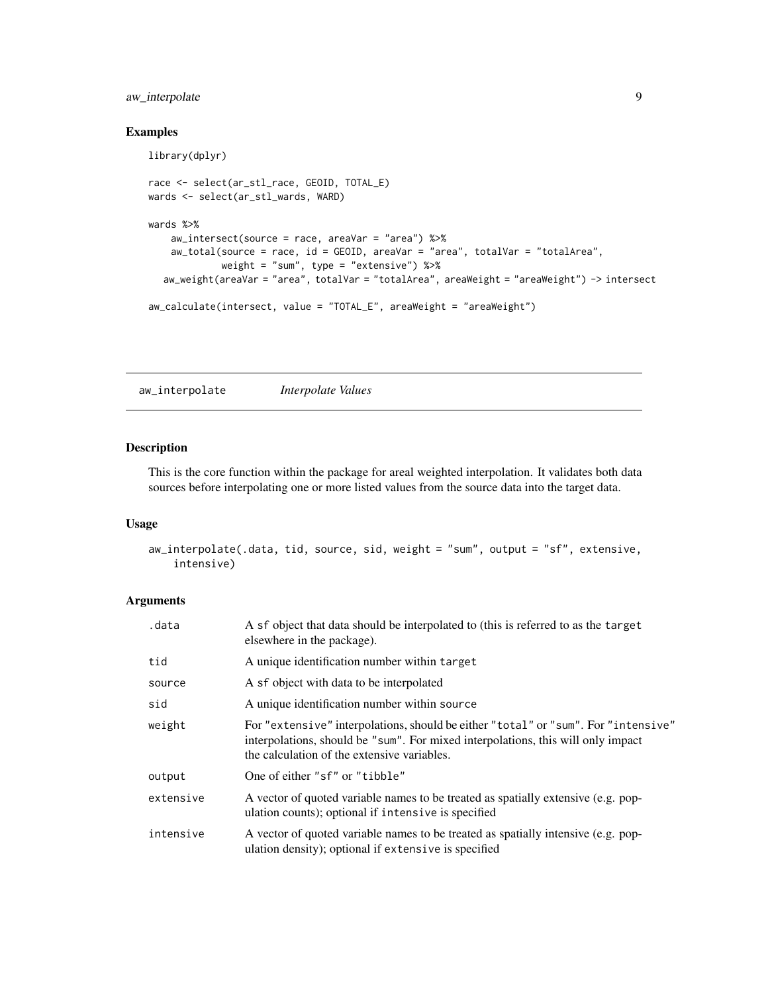# <span id="page-8-0"></span>aw\_interpolate 9

# Examples

```
library(dplyr)
race <- select(ar_stl_race, GEOID, TOTAL_E)
wards <- select(ar_stl_wards, WARD)
wards %>%
   aw_intersect(source = race, areaVar = "area") %>%
   aw_total(source = race, id = GEOID, areaVar = "area", totalVar = "totalArea",
             weight = "sum", type = "extensive") %>%
  aw_weight(areaVar = "area", totalVar = "totalArea", areaWeight = "areaWeight") -> intersect
aw_calculate(intersect, value = "TOTAL_E", areaWeight = "areaWeight")
```
aw\_interpolate *Interpolate Values*

# Description

This is the core function within the package for areal weighted interpolation. It validates both data sources before interpolating one or more listed values from the source data into the target data.

#### Usage

```
aw_interpolate(.data, tid, source, sid, weight = "sum", output = "sf", extensive,
    intensive)
```
# Arguments

| .data     | A sf object that data should be interpolated to (this is referred to as the target<br>elsewhere in the package).                                                                                                      |
|-----------|-----------------------------------------------------------------------------------------------------------------------------------------------------------------------------------------------------------------------|
| tid       | A unique identification number within target                                                                                                                                                                          |
| source    | A sf object with data to be interpolated                                                                                                                                                                              |
| sid       | A unique identification number within source                                                                                                                                                                          |
| weight    | For "extensive" interpolations, should be either "total" or "sum". For "intensive"<br>interpolations, should be "sum". For mixed interpolations, this will only impact<br>the calculation of the extensive variables. |
| output    | One of either "sf" or "tibble"                                                                                                                                                                                        |
| extensive | A vector of quoted variable names to be treated as spatially extensive (e.g. pop-<br>ulation counts); optional if intensive is specified                                                                              |
| intensive | A vector of quoted variable names to be treated as spatially intensive (e.g. pop-<br>ulation density); optional if extensive is specified                                                                             |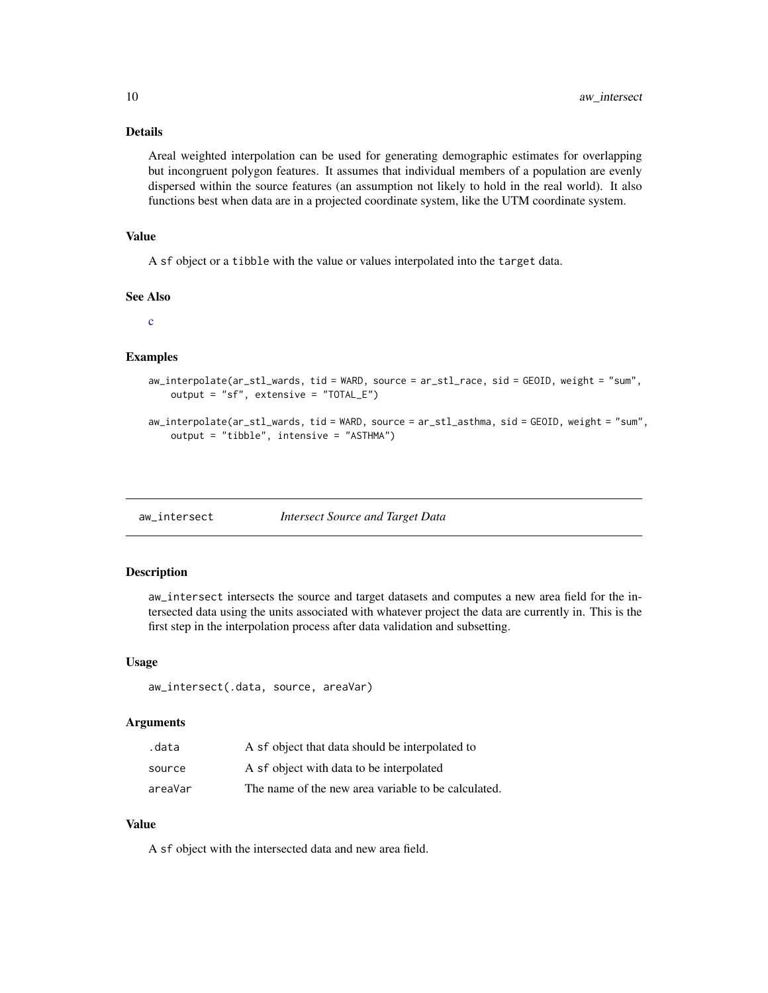# <span id="page-9-0"></span>Details

Areal weighted interpolation can be used for generating demographic estimates for overlapping but incongruent polygon features. It assumes that individual members of a population are evenly dispersed within the source features (an assumption not likely to hold in the real world). It also functions best when data are in a projected coordinate system, like the UTM coordinate system.

# Value

A sf object or a tibble with the value or values interpolated into the target data.

#### See Also

[c](#page-0-0)

#### Examples

```
aw_interpolate(ar_stl_wards, tid = WARD, source = ar_stl_race, sid = GEOID, weight = "sum",
   output = "sf", extensive = "TOTAL_E")
```

```
aw_interpolate(ar_stl_wards, tid = WARD, source = ar_stl_asthma, sid = GEOID, weight = "sum",
    output = "tibble", intensive = "ASTHMA")
```
<span id="page-9-1"></span>

#### aw\_intersect *Intersect Source and Target Data*

#### Description

aw\_intersect intersects the source and target datasets and computes a new area field for the intersected data using the units associated with whatever project the data are currently in. This is the first step in the interpolation process after data validation and subsetting.

#### Usage

aw\_intersect(.data, source, areaVar)

# Arguments

| .data   | A sf object that data should be interpolated to     |
|---------|-----------------------------------------------------|
| source  | A sf object with data to be interpolated            |
| areaVar | The name of the new area variable to be calculated. |

# Value

A sf object with the intersected data and new area field.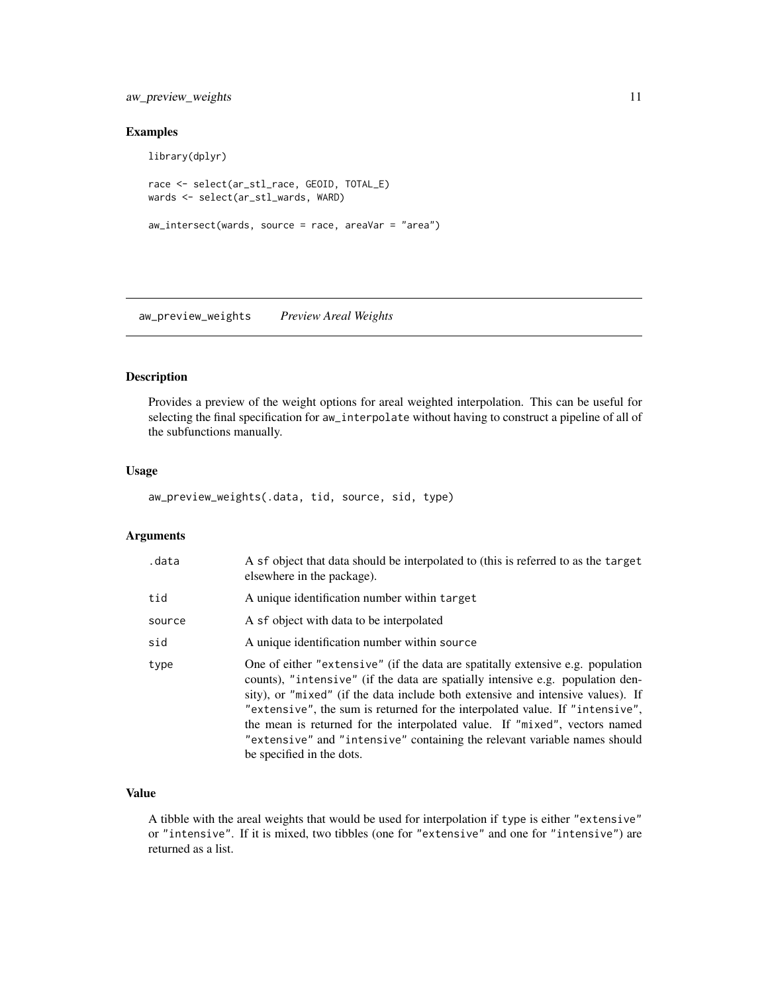# <span id="page-10-0"></span>aw\_preview\_weights 11

# Examples

```
library(dplyr)
race <- select(ar_stl_race, GEOID, TOTAL_E)
wards <- select(ar_stl_wards, WARD)
aw_intersect(wards, source = race, areaVar = "area")
```
aw\_preview\_weights *Preview Areal Weights*

#### Description

Provides a preview of the weight options for areal weighted interpolation. This can be useful for selecting the final specification for aw\_interpolate without having to construct a pipeline of all of the subfunctions manually.

# Usage

aw\_preview\_weights(.data, tid, source, sid, type)

#### Arguments

| .data  | A sf object that data should be interpolated to (this is referred to as the target<br>elsewhere in the package).                                                                                                                                                                                                                                                                                                                                                                                                             |
|--------|------------------------------------------------------------------------------------------------------------------------------------------------------------------------------------------------------------------------------------------------------------------------------------------------------------------------------------------------------------------------------------------------------------------------------------------------------------------------------------------------------------------------------|
| tid    | A unique identification number within target                                                                                                                                                                                                                                                                                                                                                                                                                                                                                 |
| source | A sf object with data to be interpolated                                                                                                                                                                                                                                                                                                                                                                                                                                                                                     |
| sid    | A unique identification number within source                                                                                                                                                                                                                                                                                                                                                                                                                                                                                 |
| type   | One of either "extensive" (if the data are spatitally extensive e.g. population<br>counts), "intensive" (if the data are spatially intensive e.g. population den-<br>sity), or "mixed" (if the data include both extensive and intensive values). If<br>"extensive", the sum is returned for the interpolated value. If "intensive",<br>the mean is returned for the interpolated value. If "mixed", vectors named<br>"extensive" and "intensive" containing the relevant variable names should<br>be specified in the dots. |

# Value

A tibble with the areal weights that would be used for interpolation if type is either "extensive" or "intensive". If it is mixed, two tibbles (one for "extensive" and one for "intensive") are returned as a list.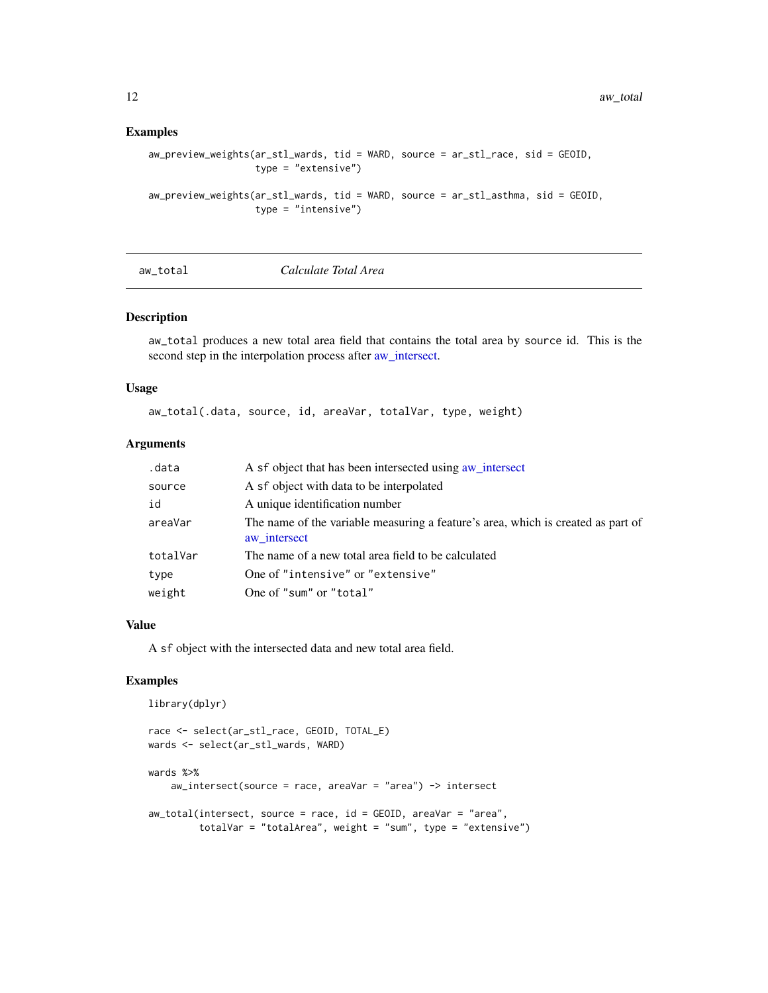#### <span id="page-11-0"></span>Examples

```
aw_preview_weights(ar_stl_wards, tid = WARD, source = ar_stl_race, sid = GEOID,
                   type = "extensive")
aw_preview_weights(ar_stl_wards, tid = WARD, source = ar_stl_asthma, sid = GEOID,
                   type = "intensive")
```

| total<br>aw : |
|---------------|
|---------------|

 $Calculate$  *Total Area* 

# Description

aw\_total produces a new total area field that contains the total area by source id. This is the second step in the interpolation process after [aw\\_intersect.](#page-9-1)

#### Usage

aw\_total(.data, source, id, areaVar, totalVar, type, weight)

### Arguments

| .data    | A sf object that has been intersected using aw_intersect                                         |
|----------|--------------------------------------------------------------------------------------------------|
| source   | A sf object with data to be interpolated                                                         |
| id       | A unique identification number                                                                   |
| areaVar  | The name of the variable measuring a feature's area, which is created as part of<br>aw intersect |
| totalVar | The name of a new total area field to be calculated                                              |
| type     | One of "intensive" or "extensive"                                                                |
| weight   | One of "sum" or "total"                                                                          |

#### Value

A sf object with the intersected data and new total area field.

```
library(dplyr)
```

```
race <- select(ar_stl_race, GEOID, TOTAL_E)
wards <- select(ar_stl_wards, WARD)
wards %>%
    aw_intersect(source = race, areaVar = "area") -> intersect
aw_total(intersect, source = race, id = GEOID, areaVar = "area",
         totalVar = "totalArea", weight = "sum", type = "extensive")
```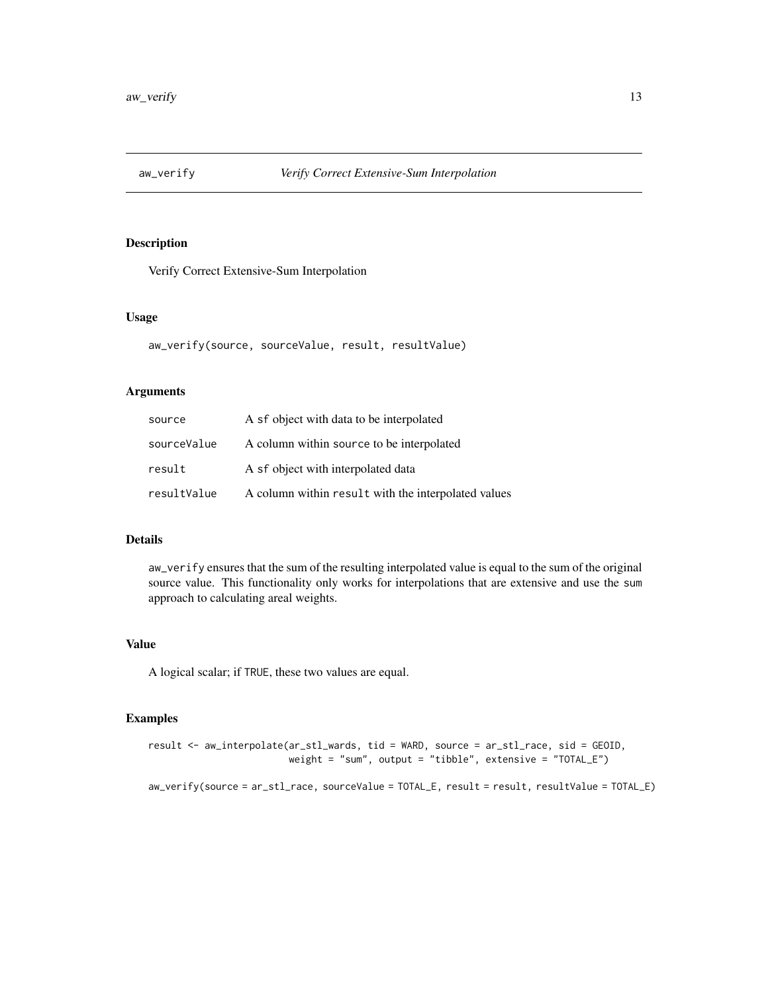<span id="page-12-0"></span>

# Description

Verify Correct Extensive-Sum Interpolation

# Usage

```
aw_verify(source, sourceValue, result, resultValue)
```
# Arguments

| source      | A sf object with data to be interpolated            |
|-------------|-----------------------------------------------------|
| sourceValue | A column within source to be interpolated           |
| result      | A sf object with interpolated data                  |
| resultValue | A column within result with the interpolated values |

### Details

aw\_verify ensures that the sum of the resulting interpolated value is equal to the sum of the original source value. This functionality only works for interpolations that are extensive and use the sum approach to calculating areal weights.

# Value

A logical scalar; if TRUE, these two values are equal.

```
result <- aw_interpolate(ar_stl_wards, tid = WARD, source = ar_stl_race, sid = GEOID,
                         weight = "sum", output = "tibble", extensive = "TOTAL_E")
aw_verify(source = ar_stl_race, sourceValue = TOTAL_E, result = result, resultValue = TOTAL_E)
```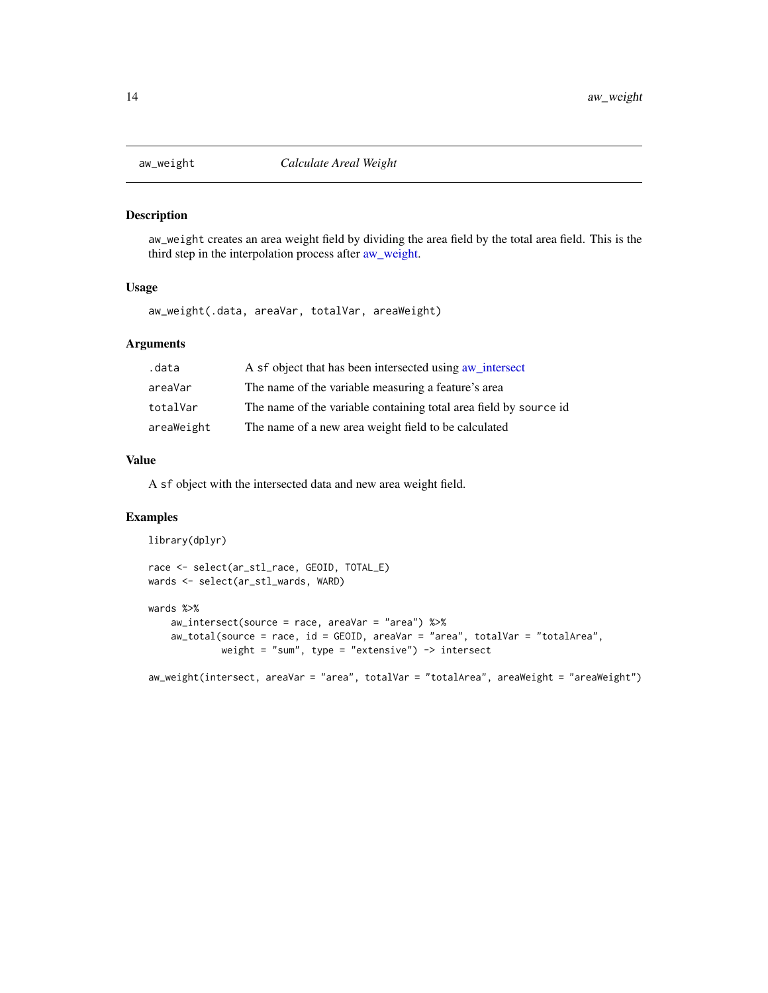<span id="page-13-1"></span><span id="page-13-0"></span>

#### Description

aw\_weight creates an area weight field by dividing the area field by the total area field. This is the third step in the interpolation process after [aw\\_weight.](#page-13-1)

#### Usage

aw\_weight(.data, areaVar, totalVar, areaWeight)

# Arguments

| .data      | A sf object that has been intersected using a intersect           |
|------------|-------------------------------------------------------------------|
| areaVar    | The name of the variable measuring a feature's area               |
| totalVar   | The name of the variable containing total area field by source id |
| areaWeight | The name of a new area weight field to be calculated              |

# Value

A sf object with the intersected data and new area weight field.

```
library(dplyr)
```

```
race <- select(ar_stl_race, GEOID, TOTAL_E)
wards <- select(ar_stl_wards, WARD)
wards %>%
    aw_intersect(source = race, areaVar = "area") %>%
```

```
aw_total(source = race, id = GEOID, areaVar = "area", totalVar = "totalArea",
         weight = "sum", type = "extensive") \rightarrow intersect
```

```
aw_weight(intersect, areaVar = "area", totalVar = "totalArea", areaWeight = "areaWeight")
```